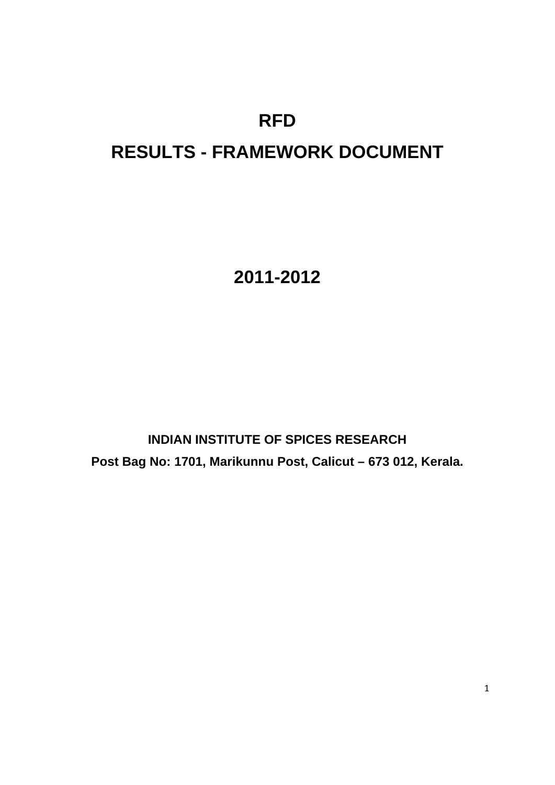# **RFD**

# **RESULTS - FRAMEWORK DOCUMENT**

**2011-2012** 

**INDIAN INSTITUTE OF SPICES RESEARCH Post Bag No: 1701, Marikunnu Post, Calicut – 673 012, Kerala.**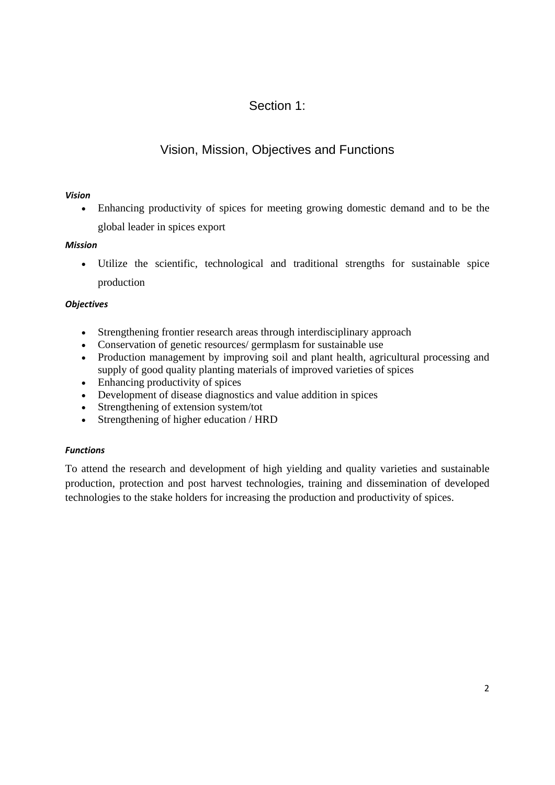## Section 1:

## Vision, Mission, Objectives and Functions

#### *Vision*

 Enhancing productivity of spices for meeting growing domestic demand and to be the global leader in spices export

#### *Mission*

 Utilize the scientific, technological and traditional strengths for sustainable spice production

#### *Objectives*

- Strengthening frontier research areas through interdisciplinary approach
- Conservation of genetic resources/ germplasm for sustainable use
- Production management by improving soil and plant health, agricultural processing and supply of good quality planting materials of improved varieties of spices
- Enhancing productivity of spices
- Development of disease diagnostics and value addition in spices
- Strengthening of extension system/tot
- Strengthening of higher education / HRD

### *Functions*

To attend the research and development of high yielding and quality varieties and sustainable production, protection and post harvest technologies, training and dissemination of developed technologies to the stake holders for increasing the production and productivity of spices.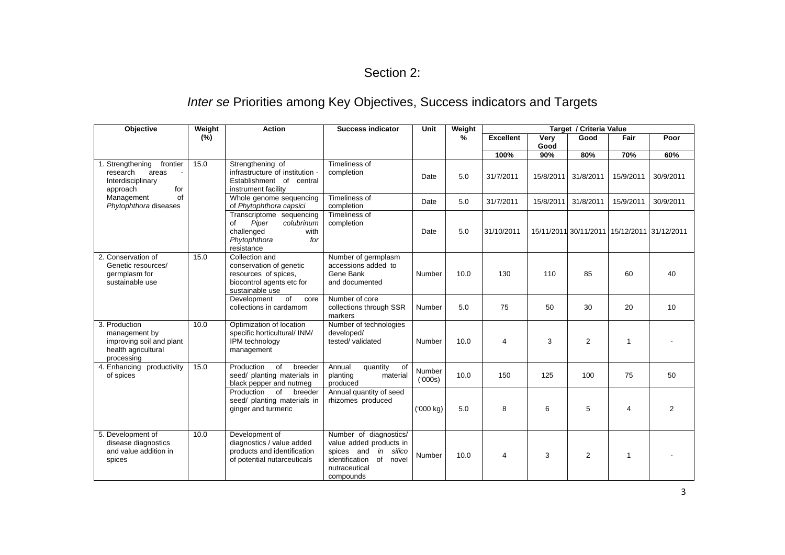### Section 2:

## *Inter se* Priorities among Key Objectives, Success indicators and Targets

| Objective                                                                                       | Weight          | <b>Action</b>                                                                                                     | <b>Success indicator</b>                                                                                                                 | <b>Unit</b>       | Weight | Target / Criteria Value |           |                                             |              |                |
|-------------------------------------------------------------------------------------------------|-----------------|-------------------------------------------------------------------------------------------------------------------|------------------------------------------------------------------------------------------------------------------------------------------|-------------------|--------|-------------------------|-----------|---------------------------------------------|--------------|----------------|
|                                                                                                 | $(\frac{9}{6})$ |                                                                                                                   |                                                                                                                                          |                   | %      | <b>Excellent</b>        | Very      | Good                                        | Fair         | Poor           |
|                                                                                                 |                 |                                                                                                                   |                                                                                                                                          |                   |        |                         | Good      |                                             |              |                |
|                                                                                                 |                 |                                                                                                                   |                                                                                                                                          |                   |        | 100%                    | 90%       | 80%                                         | 70%          | 60%            |
| Strengthening<br>frontier<br>research<br>areas<br>Interdisciplinary<br>approach<br>for          | 15.0            | Strengthening of<br>infrastructure of institution -<br>Establishment of central<br>instrument facility            | Timeliness of<br>completion                                                                                                              | Date              | 5.0    | 31/7/2011               | 15/8/2011 | 31/8/2011                                   | 15/9/2011    | 30/9/2011      |
| Management<br>of<br>Phytophthora diseases                                                       |                 | Whole genome sequencing<br>of Phytophthora capsici                                                                | Timeliness of<br>completion                                                                                                              | Date              | 5.0    | 31/7/2011               | 15/8/2011 | 31/8/2011                                   | 15/9/2011    | 30/9/2011      |
|                                                                                                 |                 | Transcriptome sequencing<br>Piper<br>colubrinum<br>of<br>challenged<br>with<br>Phytophthora<br>for<br>resistance  | Timeliness of<br>completion                                                                                                              | Date              | 5.0    | 31/10/2011              |           | 15/11/2011 30/11/2011 15/12/2011 31/12/2011 |              |                |
| 2. Conservation of<br>Genetic resources/<br>germplasm for<br>sustainable use                    | 15.0            | Collection and<br>conservation of genetic<br>resources of spices.<br>biocontrol agents etc for<br>sustainable use | Number of germplasm<br>accessions added to<br>Gene Bank<br>and documented                                                                | Number            | 10.0   | 130                     | 110       | 85                                          | 60           | 40             |
|                                                                                                 |                 | of<br>Development<br>core<br>collections in cardamom                                                              | Number of core<br>collections through SSR<br>markers                                                                                     | Number            | 5.0    | 75                      | 50        | 30                                          | 20           | 10             |
| 3. Production<br>management by<br>improving soil and plant<br>health agricultural<br>processing | 10.0            | Optimization of location<br>specific horticultural/ INM/<br>IPM technology<br>management                          | Number of technologies<br>developed/<br>tested/validated                                                                                 | Number            | 10.0   | $\overline{4}$          | 3         | 2                                           | $\mathbf{1}$ |                |
| 4. Enhancing productivity<br>of spices                                                          | 15.0            | of<br>Production<br>breeder<br>seed/ planting materials in<br>black pepper and nutmeg                             | of<br>Annual<br>quantity<br>planting<br>material<br>produced                                                                             | Number<br>('000s) | 10.0   | 150                     | 125       | 100                                         | 75           | 50             |
|                                                                                                 |                 | of<br>Production<br>breeder<br>seed/ planting materials in<br>ginger and turmeric                                 | Annual quantity of seed<br>rhizomes produced                                                                                             | ('000 kg)         | 5.0    | 8                       | 6         | 5                                           | 4            | $\overline{2}$ |
| 5. Development of<br>disease diagnostics<br>and value addition in<br>spices                     | 10.0            | Development of<br>diagnostics / value added<br>products and identification<br>of potential nutarceuticals         | Number of diagnostics/<br>value added products in<br>spices and<br>in silico<br>identification<br>of novel<br>nutraceutical<br>compounds | Number            | 10.0   | $\overline{4}$          | 3         | 2                                           | $\mathbf{1}$ |                |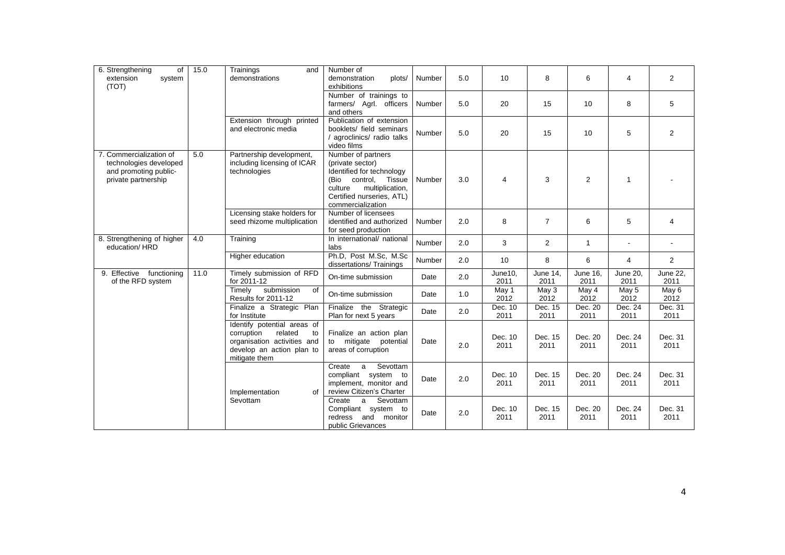| 6. Strengthening<br>of<br>extension<br>system<br>(TOT)                                            | 15.0 | Trainings<br>and<br>demonstrations                                                                                                      | Number of<br>demonstration<br>plots/<br>exhibitions                                                                                                                            | Number | 5.0 | 10              | 8                       | 6                | 4                | $\overline{2}$          |
|---------------------------------------------------------------------------------------------------|------|-----------------------------------------------------------------------------------------------------------------------------------------|--------------------------------------------------------------------------------------------------------------------------------------------------------------------------------|--------|-----|-----------------|-------------------------|------------------|------------------|-------------------------|
|                                                                                                   |      |                                                                                                                                         | Number of trainings to<br>farmers/ Agrl. officers<br>and others                                                                                                                | Number | 5.0 | 20              | 15                      | 10               | 8                | 5                       |
|                                                                                                   |      | Extension through printed<br>and electronic media                                                                                       | Publication of extension<br>booklets/ field seminars<br>/ agroclinics/ radio talks<br>video films                                                                              | Number | 5.0 | 20              | 15                      | 10               | 5                | $\overline{2}$          |
| 7. Commercialization of<br>technologies developed<br>and promoting public-<br>private partnership | 5.0  | Partnership development,<br>including licensing of ICAR<br>technologies                                                                 | Number of partners<br>(private sector)<br>Identified for technology<br>(Bio control,<br>Tissue<br>culture<br>multiplication,<br>Certified nurseries, ATL)<br>commercialization | Number | 3.0 | 4               | 3                       | 2                | $\mathbf{1}$     |                         |
|                                                                                                   |      | Licensing stake holders for<br>seed rhizome multiplication                                                                              | Number of licensees<br>identified and authorized<br>for seed production                                                                                                        | Number | 2.0 | 8               | $\overline{7}$          | 6                | 5                | 4                       |
| 8. Strengthening of higher<br>education/HRD                                                       | 4.0  | Training                                                                                                                                | In international/ national<br>labs                                                                                                                                             | Number | 2.0 | 3               | $\mathbf{2}^{\prime}$   | $\mathbf{1}$     | $\blacksquare$   |                         |
|                                                                                                   |      | Higher education                                                                                                                        | Ph.D, Post M.Sc, M.Sc<br>dissertations/Trainings                                                                                                                               | Number | 2.0 | 10              | 8                       | 6                | $\overline{4}$   | $\overline{2}$          |
| 9. Effective<br>functioning<br>of the RFD system                                                  | 11.0 | Timely submission of RFD<br>for 2011-12                                                                                                 | On-time submission                                                                                                                                                             | Date   | 2.0 | June10,<br>2011 | <b>June 14.</b><br>2011 | June 16.<br>2011 | June 20.<br>2011 | <b>June 22.</b><br>2011 |
|                                                                                                   |      | submission<br>Timely<br>0f<br>Results for 2011-12                                                                                       | On-time submission                                                                                                                                                             | Date   | 1.0 | May 1<br>2012   | May 3<br>2012           | May 4<br>2012    | May 5<br>2012    | May 6<br>2012           |
|                                                                                                   |      | Finalize a Strategic Plan<br>for Institute                                                                                              | Finalize the Strategic<br>Plan for next 5 years                                                                                                                                | Date   | 2.0 | Dec. 10<br>2011 | Dec. 15<br>2011         | Dec. 20<br>2011  | Dec. 24<br>2011  | Dec. 31<br>2011         |
|                                                                                                   |      | Identify potential areas of<br>corruption<br>related<br>to<br>organisation activities and<br>develop an action plan to<br>mitigate them | Finalize an action plan<br>mitigate potential<br>to<br>areas of corruption                                                                                                     | Date   | 2.0 | Dec. 10<br>2011 | Dec. 15<br>2011         | Dec. 20<br>2011  | Dec. 24<br>2011  | Dec. 31<br>2011         |
|                                                                                                   |      | Implementation<br>of                                                                                                                    | Sevottam<br>Create<br>a<br>compliant system to<br>implement, monitor and<br>review Citizen's Charter                                                                           | Date   | 2.0 | Dec. 10<br>2011 | Dec. 15<br>2011         | Dec. 20<br>2011  | Dec. 24<br>2011  | Dec. 31<br>2011         |
|                                                                                                   |      | Sevottam                                                                                                                                | Sevottam<br>Create<br>a<br>Compliant system to<br>redress<br>and monitor<br>public Grievances                                                                                  | Date   | 2.0 | Dec. 10<br>2011 | Dec. 15<br>2011         | Dec. 20<br>2011  | Dec. 24<br>2011  | Dec. 31<br>2011         |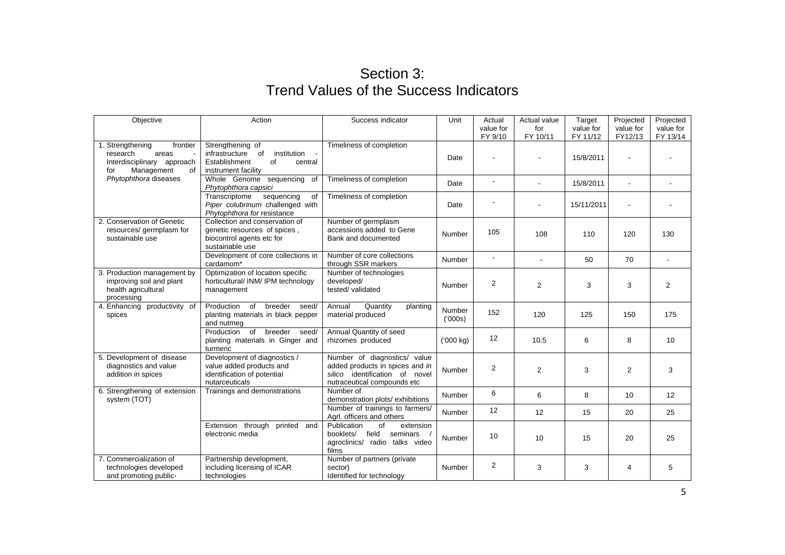## Section 3: Trend Values of the Success Indicators

| Objective                                                                                                  | Action                                                                                                           | Success indicator                                                                                                                | Unit             | Actual<br>value for | Actual value<br>for | Target<br>value for | Projected<br>value for | Projected<br>value for |
|------------------------------------------------------------------------------------------------------------|------------------------------------------------------------------------------------------------------------------|----------------------------------------------------------------------------------------------------------------------------------|------------------|---------------------|---------------------|---------------------|------------------------|------------------------|
|                                                                                                            |                                                                                                                  |                                                                                                                                  |                  | FY 9/10             | FY 10/11            | FY 11/12            | FY12/13                | FY 13/14               |
| 1. Strengthening<br>frontier<br>research<br>areas<br>Interdisciplinary approach<br>Management<br>0f<br>for | Strengthening of<br>of<br>institution<br>infrastructure<br>Establishment<br>of<br>central<br>instrument facility | Timeliness of completion                                                                                                         | Date             |                     |                     | 15/8/2011           |                        |                        |
| Phytophthora diseases                                                                                      | Whole Genome sequencing<br>of<br>Phytophthora capsici                                                            | Timeliness of completion                                                                                                         | Date             | $\blacksquare$      |                     | 15/8/2011           |                        |                        |
|                                                                                                            | sequencing<br>Transcriptome<br>0f<br>Piper colubrinum challenged with<br>Phytophthora for resistance             | Timeliness of completion                                                                                                         | Date             |                     |                     | 15/11/2011          |                        |                        |
| 2. Conservation of Genetic<br>resources/ germplasm for<br>sustainable use                                  | Collection and conservation of<br>genetic resources of spices,<br>biocontrol agents etc for<br>sustainable use   | Number of germplasm<br>accessions added to Gene<br>Bank and documented                                                           | Number           | 105                 | 108                 | 110                 | 120                    | 130                    |
|                                                                                                            | Development of core collections in<br>cardamom*                                                                  | Number of core collections<br>through SSR markers                                                                                | Number           |                     |                     | 50                  | 70                     |                        |
| 3. Production management by<br>improving soil and plant<br>health agricultural<br>processing               | Optimization of location specific<br>horticultural/ INM/ IPM technology<br>management                            | Number of technologies<br>developed/<br>tested/validated                                                                         | Number           | 2                   | $\overline{2}$      | 3                   | 3                      | $\overline{2}$         |
| 4. Enhancing productivity of<br>spices                                                                     | Production of<br>breeder<br>seed/<br>planting materials in black pepper<br>and nutmeg                            | Annual<br>Quantity<br>planting<br>material produced                                                                              | Number<br>(000s) | 152                 | 120                 | 125                 | 150                    | 175                    |
|                                                                                                            | Production of<br>breeder<br>seed/<br>planting materials in Ginger and<br>turmeric                                | Annual Quantity of seed<br>rhizomes produced                                                                                     | ('000 kg)        | 12                  | 10.5                | 6                   | 8                      | 10                     |
| 5. Development of disease<br>diagnostics and value<br>addition in spices                                   | Development of diagnostics /<br>value added products and<br>identification of potential<br>nutarceuticals        | Number of diagnostics/ value<br>added products in spices and in<br>silico identification of novel<br>nutraceutical compounds etc | Number           | $\overline{2}$      | $\overline{2}$      | 3                   | $\overline{2}$         | 3                      |
| 6. Strengthening of extension<br>system (TOT)                                                              | Trainings and demonstrations                                                                                     | Number of<br>demonstration plots/ exhibitions                                                                                    | Number           | 6                   | 6                   | 8                   | 10                     | 12                     |
|                                                                                                            |                                                                                                                  | Number of trainings to farmers/<br>Agrl. officers and others                                                                     | Number           | 12                  | 12                  | 15                  | 20                     | 25                     |
|                                                                                                            | Extension through<br>printed<br>and<br>electronic media                                                          | Publication<br>of<br>extension<br>field<br>booklets/<br>seminars<br>agroclinics/ radio talks video<br>films                      | Number           | 10                  | 10                  | 15                  | 20                     | 25                     |
| 7. Commercialization of<br>technologies developed<br>and promoting public-                                 | Partnership development,<br>including licensing of ICAR<br>technologies                                          | Number of partners (private<br>sector)<br>Identified for technology                                                              | Number           | $\overline{2}$      | 3                   | 3                   | 4                      | 5                      |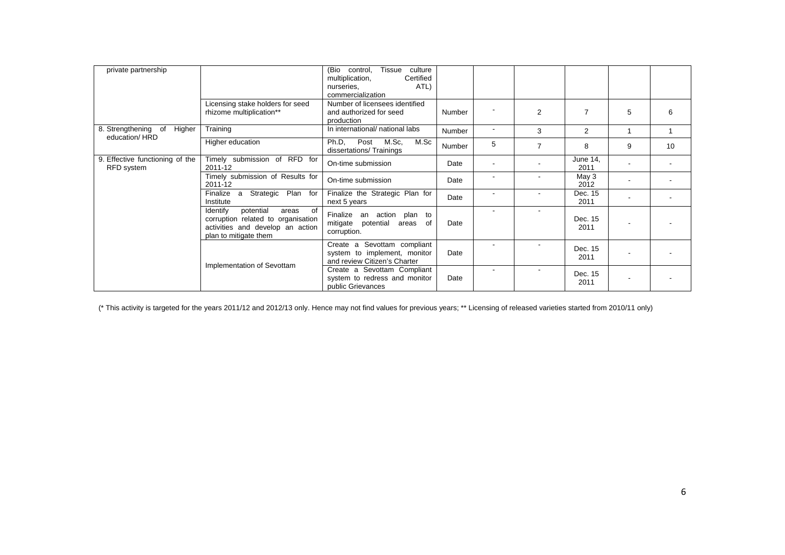| private partnership                                  |                                                                                                                                         | (Bio<br>Tissue<br>culture<br>control,<br>Certified<br>multiplication,<br>ATL)<br>nurseries,<br>commercialization |        |                          |                |                  |   |    |
|------------------------------------------------------|-----------------------------------------------------------------------------------------------------------------------------------------|------------------------------------------------------------------------------------------------------------------|--------|--------------------------|----------------|------------------|---|----|
|                                                      | Licensing stake holders for seed<br>rhizome multiplication**                                                                            | Number of licensees identified<br>and authorized for seed<br>production                                          | Number |                          | 2              | 7                | 5 | 6  |
| 8. Strengthening of<br>Higher                        | Training                                                                                                                                | In international/ national labs                                                                                  | Number | $\overline{\phantom{a}}$ | 3              | 2                |   |    |
| education/HRD                                        | Higher education                                                                                                                        | Ph.D,<br>Post<br>M.Sc,<br>M.Sc<br>dissertations/Trainings                                                        | Number | 5                        | $\overline{7}$ | 8                | 9 | 10 |
| 9. Effective functioning of the<br><b>RFD</b> system | Timely submission of RFD for<br>2011-12                                                                                                 | On-time submission                                                                                               | Date   |                          |                | June 14,<br>2011 |   |    |
|                                                      | Timely submission of Results for<br>2011-12                                                                                             | On-time submission                                                                                               | Date   |                          |                | May 3<br>2012    |   |    |
|                                                      | Strategic Plan<br>Finalize<br>a<br>for<br>Institute                                                                                     | Finalize the Strategic Plan for<br>next 5 years                                                                  | Date   |                          |                | Dec. 15<br>2011  |   |    |
|                                                      | potential<br>Identify<br>of<br>areas<br>corruption related to organisation<br>activities and develop an action<br>plan to mitigate them | Finalize an<br>action plan to<br>mitigate potential<br>of<br>areas<br>corruption.                                | Date   |                          |                | Dec. 15<br>2011  |   |    |
|                                                      | Implementation of Sevottam                                                                                                              | Create a Sevottam compliant<br>system to implement, monitor<br>and review Citizen's Charter                      | Date   |                          |                | Dec. 15<br>2011  |   |    |
|                                                      |                                                                                                                                         | Create a Sevottam Compliant<br>system to redress and monitor<br>public Grievances                                | Date   |                          |                | Dec. 15<br>2011  |   |    |

(\* This activity is targeted for the years 2011/12 and 2012/13 only. Hence may not find values for previous years; \*\* Licensing of released varieties started from 2010/11 only)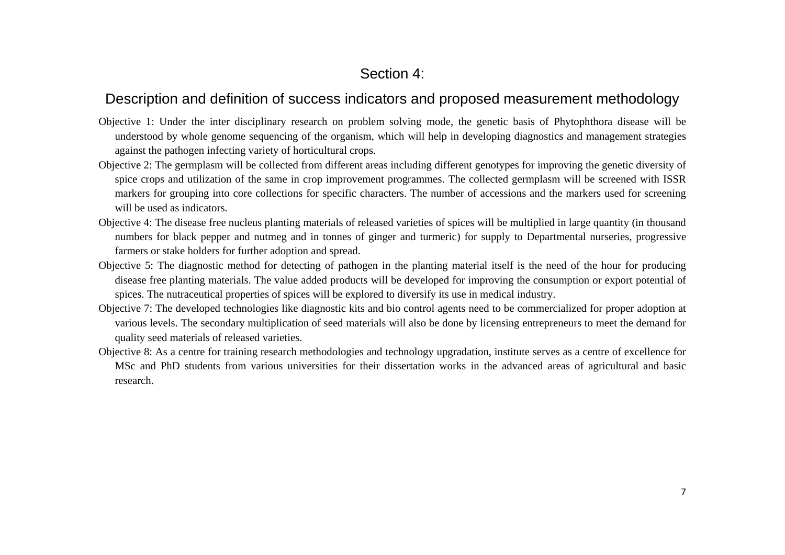## Section 4:

### Description and definition of success indicators and proposed measurement methodology

- Objective 1: Under the inter disciplinary research on problem solving mode, the genetic basis of Phytophthora disease will be understood by whole genome sequencing of the organism, which will help in developing diagnostics and management strategies against the pathogen infecting variety of horticultural crops.
- Objective 2: The germplasm will be collected from different areas including different genotypes for improving the genetic diversity of spice crops and utilization of the same in crop improvement programmes. The collected germplasm will be screened with ISSR markers for grouping into core collections for specific characters. The number of accessions and the markers used for screening will be used as indicators.
- Objective 4: The disease free nucleus planting materials of released varieties of spices will be multiplied in large quantity (in thousand numbers for black pepper and nutmeg and in tonnes of ginger and turmeric) for supply to Departmental nurseries, progressive farmers or stake holders for further adoption and spread.
- Objective 5: The diagnostic method for detecting of pathogen in the planting material itself is the need of the hour for producing disease free planting materials. The value added products will be developed for improving the consumption or export potential of spices. The nutraceutical properties of spices will be explored to diversify its use in medical industry.
- Objective 7: The developed technologies like diagnostic kits and bio control agents need to be commercialized for proper adoption at various levels. The secondary multiplication of seed materials will also be done by licensing entrepreneurs to meet the demand for quality seed materials of released varieties.
- Objective 8: As a centre for training research methodologies and technology upgradation, institute serves as a centre of excellence for MSc and PhD students from various universities for their dissertation works in the advanced areas of agricultural and basic research.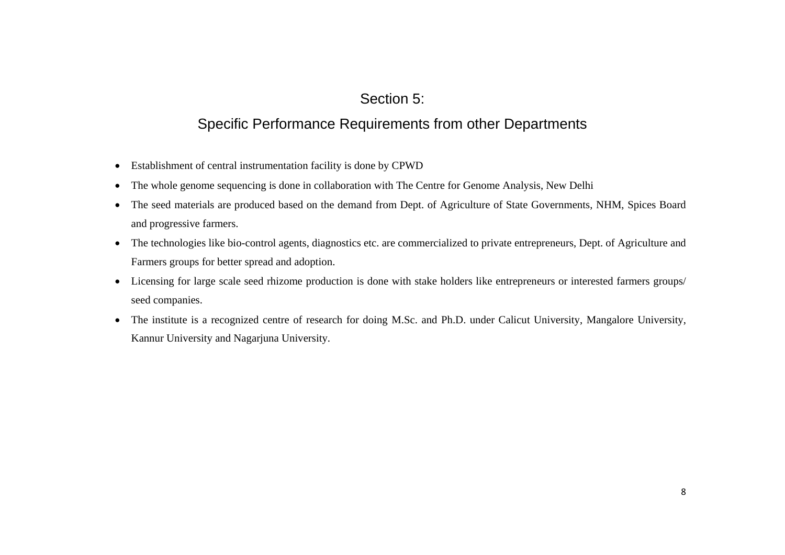## Section 5:

## Specific Performance Requirements from other Departments

- Establishment of central instrumentation facility is done by CPWD
- The whole genome sequencing is done in collaboration with The Centre for Genome Analysis, New Delhi
- $\bullet$  The seed materials are produced based on the demand from Dept. of Agriculture of State Governments, NHM, Spices Board and progressive farmers.
- The technologies like bio-control agents, diagnostics etc. are commercialized to private entrepreneurs, Dept. of Agriculture and Farmers groups for better spread and adoption.
- Licensing for large scale seed rhizome production is done with stake holders like entrepreneurs or interested farmers groups/ seed companies.
- The institute is a recognized centre of research for doing M.Sc. and Ph.D. under Calicut University, Mangalore University, Kannur University and Nagarjuna University.